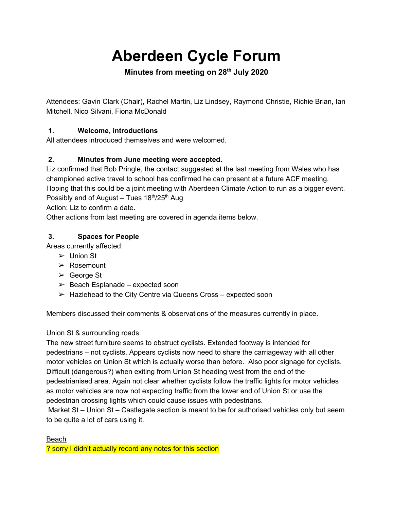# **Aberdeen Cycle Forum**

# **Minutes from meeting on 28th July 2020**

Attendees: Gavin Clark (Chair), Rachel Martin, Liz Lindsey, Raymond Christie, Richie Brian, Ian Mitchell, Nico Silvani, Fiona McDonald

## **1. Welcome, introductions**

All attendees introduced themselves and were welcomed.

## **2. Minutes from June meeting were accepted.**

Liz confirmed that Bob Pringle, the contact suggested at the last meeting from Wales who has championed active travel to school has confirmed he can present at a future ACF meeting. Hoping that this could be a joint meeting with Aberdeen Climate Action to run as a bigger event. Possibly end of August - Tues 18<sup>th</sup>/25<sup>th</sup> Aug

Action: Liz to confirm a date.

Other actions from last meeting are covered in agenda items below.

## **3. Spaces for People**

Areas currently affected:

- $\triangleright$  Union St
- ➢ Rosemount
- ➢ George St
- $\geq$  Beach Esplanade expected soon
- $\triangleright$  Hazlehead to the City Centre via Queens Cross expected soon

Members discussed their comments & observations of the measures currently in place.

## Union St & surrounding roads

The new street furniture seems to obstruct cyclists. Extended footway is intended for pedestrians – not cyclists. Appears cyclists now need to share the carriageway with all other motor vehicles on Union St which is actually worse than before. Also poor signage for cyclists. Difficult (dangerous?) when exiting from Union St heading west from the end of the pedestrianised area. Again not clear whether cyclists follow the traffic lights for motor vehicles as motor vehicles are now not expecting traffic from the lower end of Union St or use the pedestrian crossing lights which could cause issues with pedestrians.

Market St – Union St – Castlegate section is meant to be for authorised vehicles only but seem to be quite a lot of cars using it.

Beach

? sorry I didn't actually record any notes for this section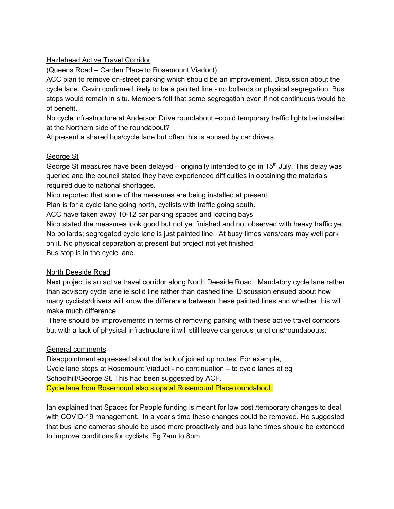#### **Hazlehead Active Travel Corridor**

(Queens Road – Carden Place to Rosemount Viaduct)

ACC plan to remove on-street parking which should be an improvement. Discussion about the cycle lane. Gavin confirmed likely to be a painted line - no bollards or physical segregation. Bus stops would remain in situ. Members felt that some segregation even if not continuous would be of benefit.

No cycle infrastructure at Anderson Drive roundabout –could temporary traffic lights be installed at the Northern side of the roundabout?

At present a shared bus/cycle lane but often this is abused by car drivers.

#### George St

George St measures have been delayed  $-$  originally intended to go in 15<sup>th</sup> July. This delay was queried and the council stated they have experienced difficulties in obtaining the materials required due to national shortages.

Nico reported that some of the measures are being installed at present.

Plan is for a cycle lane going north, cyclists with traffic going south.

ACC have taken away 10-12 car parking spaces and loading bays.

Nico stated the measures look good but not yet finished and not observed with heavy traffic yet. No bollards; segregated cycle lane is just painted line. At busy times vans/cars may well park on it. No physical separation at present but project not yet finished.

Bus stop is in the cycle lane.

#### North Deeside Road

Next project is an active travel corridor along North Deeside Road. Mandatory cycle lane rather than advisory cycle lane ie solid line rather than dashed line. Discussion ensued about how many cyclists/drivers will know the difference between these painted lines and whether this will make much difference.

There should be improvements in terms of removing parking with these active travel corridors but with a lack of physical infrastructure it will still leave dangerous junctions/roundabouts.

#### General comments

Disappointment expressed about the lack of joined up routes. For example, Cycle lane stops at Rosemount Viaduct - no continuation – to cycle lanes at eg Schoolhill/George St. This had been suggested by ACF. Cycle lane from Rosemount also stops at Rosemount Place roundabout.

Ian explained that Spaces for People funding is meant for low cost /temporary changes to deal with COVID-19 management. In a year's time these changes could be removed. He suggested that bus lane cameras should be used more proactively and bus lane times should be extended to improve conditions for cyclists. Eg 7am to 8pm.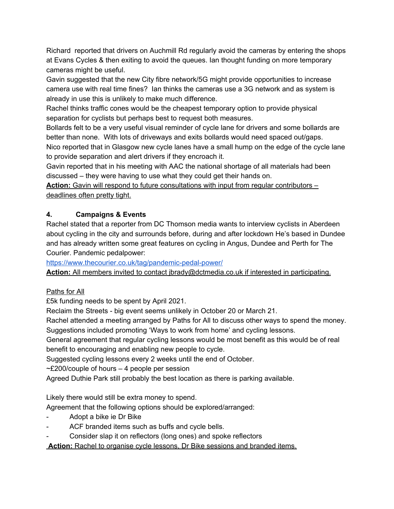Richard reported that drivers on Auchmill Rd regularly avoid the cameras by entering the shops at Evans Cycles & then exiting to avoid the queues. Ian thought funding on more temporary cameras might be useful.

Gavin suggested that the new City fibre network/5G might provide opportunities to increase camera use with real time fines? Ian thinks the cameras use a 3G network and as system is already in use this is unlikely to make much difference.

Rachel thinks traffic cones would be the cheapest temporary option to provide physical separation for cyclists but perhaps best to request both measures.

Bollards felt to be a very useful visual reminder of cycle lane for drivers and some bollards are better than none. With lots of driveways and exits bollards would need spaced out/gaps.

Nico reported that in Glasgow new cycle lanes have a small hump on the edge of the cycle lane to provide separation and alert drivers if they encroach it.

Gavin reported that in his meeting with AAC the national shortage of all materials had been discussed – they were having to use what they could get their hands on.

**Action:** Gavin will respond to future consultations with input from regular contributors – deadlines often pretty tight.

# **4. Campaigns & Events**

Rachel stated that a reporter from DC Thomson media wants to interview cyclists in Aberdeen about cycling in the city and surrounds before, during and after lockdown He's based in Dundee and has already written some great features on cycling in Angus, Dundee and Perth for The Courier. Pandemic pedalpower:

<https://www.thecourier.co.uk/tag/pandemic-pedal-power/>

**Action:** All members invited to contact jbrady@dctmedia.co.uk if interested in participating.

## Paths for All

£5k funding needs to be spent by April 2021.

Reclaim the Streets - big event seems unlikely in October 20 or March 21.

Rachel attended a meeting arranged by Paths for All to discuss other ways to spend the money. Suggestions included promoting 'Ways to work from home' and cycling lessons.

General agreement that regular cycling lessons would be most benefit as this would be of real benefit to encouraging and enabling new people to cycle.

Suggested cycling lessons every 2 weeks until the end of October.

 $\sim$ £200/couple of hours – 4 people per session

Agreed Duthie Park still probably the best location as there is parking available.

Likely there would still be extra money to spend.

Agreement that the following options should be explored/arranged:

- Adopt a bike ie Dr Bike
- ACF branded items such as buffs and cycle bells.
- Consider slap it on reflectors (long ones) and spoke reflectors

**Action:** Rachel to organise cycle lessons, Dr Bike sessions and branded items.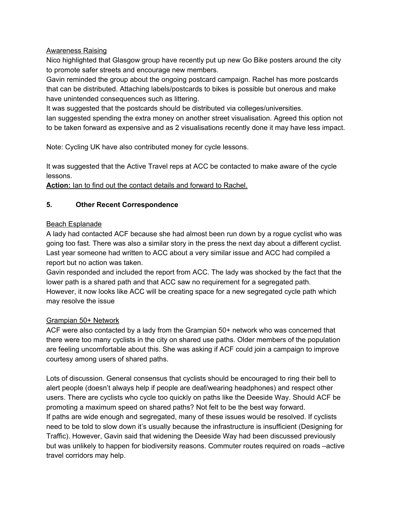#### Awareness Raising

Nico highlighted that Glasgow group have recently put up new Go Bike posters around the city to promote safer streets and encourage new members.

Gavin reminded the group about the ongoing postcard campaign. Rachel has more postcards that can be distributed. Attaching labels/postcards to bikes is possible but onerous and make have unintended consequences such as littering.

It was suggested that the postcards should be distributed via colleges/universities.

Ian suggested spending the extra money on another street visualisation. Agreed this option not to be taken forward as expensive and as 2 visualisations recently done it may have less impact.

Note: Cycling UK have also contributed money for cycle lessons.

It was suggested that the Active Travel reps at ACC be contacted to make aware of the cycle lessons.

**Action:** Ian to find out the contact details and forward to Rachel.

## **5. Other Recent Correspondence**

#### Beach Esplanade

A lady had contacted ACF because she had almost been run down by a rogue cyclist who was going too fast. There was also a similar story in the press the next day about a different cyclist. Last year someone had written to ACC about a very similar issue and ACC had compiled a report but no action was taken.

Gavin responded and included the report from ACC. The lady was shocked by the fact that the lower path is a shared path and that ACC saw no requirement for a segregated path. However, it now looks like ACC will be creating space for a new segregated cycle path which may resolve the issue

#### Grampian 50+ Network

ACF were also contacted by a lady from the Grampian 50+ network who was concerned that there were too many cyclists in the city on shared use paths. Older members of the population are feeling uncomfortable about this. She was asking if ACF could join a campaign to improve courtesy among users of shared paths.

Lots of discussion. General consensus that cyclists should be encouraged to ring their bell to alert people (doesn't always help if people are deaf/wearing headphones) and respect other users. There are cyclists who cycle too quickly on paths like the Deeside Way. Should ACF be promoting a maximum speed on shared paths? Not felt to be the best way forward. If paths are wide enough and segregated, many of these issues would be resolved. If cyclists need to be told to slow down it's usually because the infrastructure is insufficient (Designing for Traffic). However, Gavin said that widening the Deeside Way had been discussed previously but was unlikely to happen for biodiversity reasons. Commuter routes required on roads –active travel corridors may help.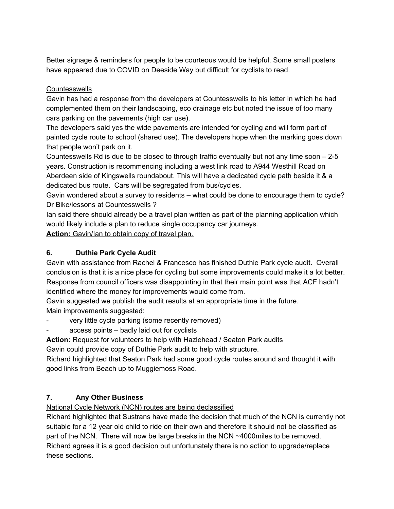Better signage & reminders for people to be courteous would be helpful. Some small posters have appeared due to COVID on Deeside Way but difficult for cyclists to read.

## **Countesswells**

Gavin has had a response from the developers at Countesswells to his letter in which he had complemented them on their landscaping, eco drainage etc but noted the issue of too many cars parking on the pavements (high car use).

The developers said yes the wide pavements are intended for cycling and will form part of painted cycle route to school (shared use). The developers hope when the marking goes down that people won't park on it.

Countesswells Rd is due to be closed to through traffic eventually but not any time soon – 2-5 years. Construction is recommencing including a west link road to A944 Westhill Road on Aberdeen side of Kingswells roundabout. This will have a dedicated cycle path beside it & a dedicated bus route. Cars will be segregated from bus/cycles.

Gavin wondered about a survey to residents – what could be done to encourage them to cycle? Dr Bike/lessons at Countesswells ?

Ian said there should already be a travel plan written as part of the planning application which would likely include a plan to reduce single occupancy car journeys.

**Action:** Gavin/Ian to obtain copy of travel plan.

## **6. Duthie Park Cycle Audit**

Gavin with assistance from Rachel & Francesco has finished Duthie Park cycle audit. Overall conclusion is that it is a nice place for cycling but some improvements could make it a lot better. Response from council officers was disappointing in that their main point was that ACF hadn't identified where the money for improvements would come from.

Gavin suggested we publish the audit results at an appropriate time in the future. Main improvements suggested:

- very little cycle parking (some recently removed)
- access points badly laid out for cyclists

## **Action:** Request for volunteers to help with Hazlehead / Seaton Park audits

Gavin could provide copy of Duthie Park audit to help with structure.

Richard highlighted that Seaton Park had some good cycle routes around and thought it with good links from Beach up to Muggiemoss Road.

## **7. Any Other Business**

National Cycle Network (NCN) routes are being declassified

Richard highlighted that Sustrans have made the decision that much of the NCN is currently not suitable for a 12 year old child to ride on their own and therefore it should not be classified as part of the NCN. There will now be large breaks in the NCN ~4000miles to be removed. Richard agrees it is a good decision but unfortunately there is no action to upgrade/replace these sections.